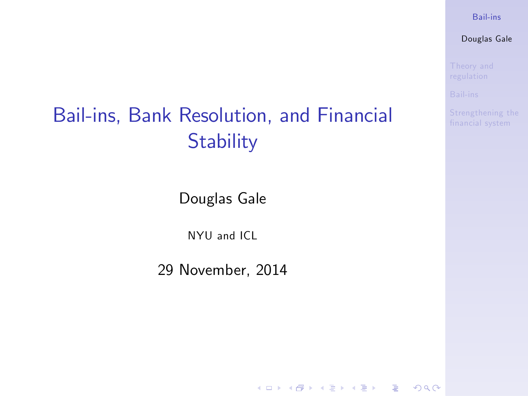#### [Bail-ins](#page-14-0)

Douglas Gale

# Bail-ins, Bank Resolution, and Financial [Strengthening the](#page-10-0) **Stability**

Douglas Gale

NYU and ICL

<span id="page-0-0"></span>29 November, 2014

K ロ ▶ K 個 ▶ K 할 ▶ K 할 ▶ 이 할 → 이익 O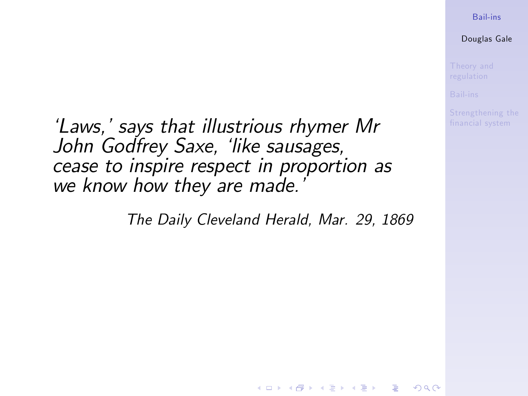#### [Bail-ins](#page-0-0)

Douglas Gale

'Laws,' says that illustrious rhymer Mr John Godfrey Saxe, 'like sausages, cease to inspire respect in proportion as we know how they are made.

The Daily Cleveland Herald, Mar. 29, 1869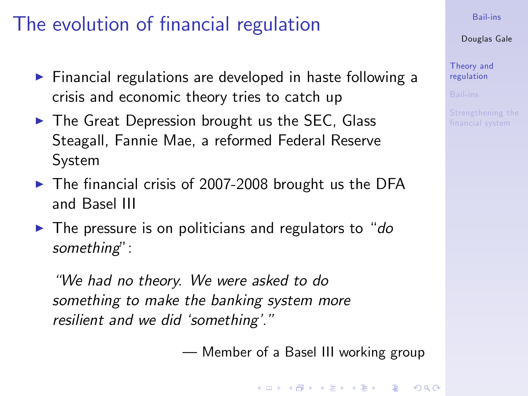# The evolution of financial regulation

- $\blacktriangleright$  Financial regulations are developed in haste following a crisis and economic theory tries to catch up
- $\triangleright$  The Great Depression brought us the SEC, Glass Steagall, Fannie Mae, a reformed Federal Reserve System
- $\blacktriangleright$  The financial crisis of 2007-2008 brought us the DFA and Basel III
- $\blacktriangleright$  The pressure is on politicians and regulators to "do" something":

<span id="page-2-0"></span>ìWe had no theory. We were asked to do something to make the banking system more resilient and we did 'something'."

— Member of a Basel III working group

[Bail-ins](#page-0-0)

Douglas Gale

[Theory and](#page-2-0) regulation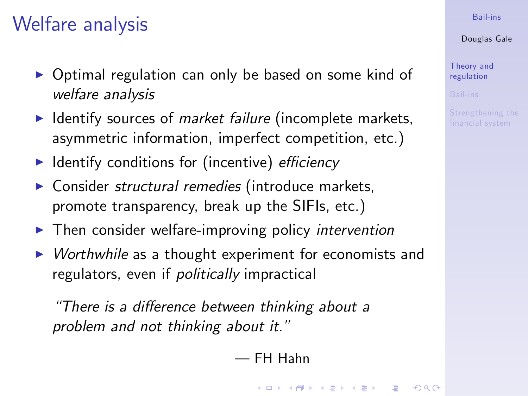### Welfare analysis

- $\triangleright$  Optimal regulation can only be based on some kind of welfare analysis
- $\blacktriangleright$  Identify sources of *market failure* (incomplete markets, asymmetric information, imperfect competition, etc.)
- $\blacktriangleright$  Identify conditions for (incentive) efficiency
- $\triangleright$  Consider structural remedies (introduce markets, promote transparency, break up the SIFIs, etc.)
- $\blacktriangleright$  Then consider welfare-improving policy intervention
- $\triangleright$  Worthwhile as a thought experiment for economists and regulators, even if politically impractical

"There is a difference between thinking about a problem and not thinking about it."

### ó FH Hahn

#### [Bail-ins](#page-0-0)

#### Douglas Gale

[Theory and](#page-2-0) regulation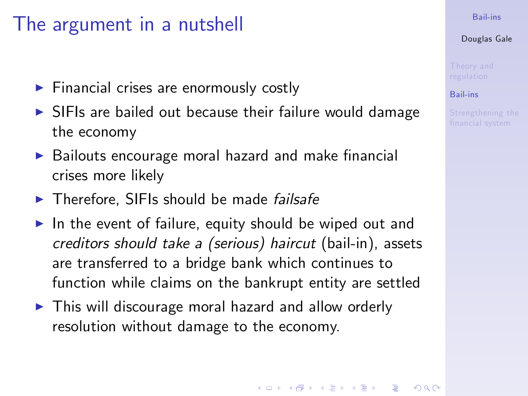### The argument in a nutshell

- $\blacktriangleright$  Financial crises are enormously costly
- $\triangleright$  SIFIs are bailed out because their failure would damage the economy
- $\triangleright$  Bailouts encourage moral hazard and make financial crises more likely
- $\blacktriangleright$  Therefore, SIFIs should be made *failsafe*
- In the event of failure, equity should be wiped out and creditors should take a (serious) haircut (bail-in), assets are transferred to a bridge bank which continues to function while claims on the bankrupt entity are settled
- <span id="page-4-0"></span> $\blacktriangleright$  This will discourage moral hazard and allow orderly resolution without damage to the economy.

#### [Bail-ins](#page-0-0)

#### Douglas Gale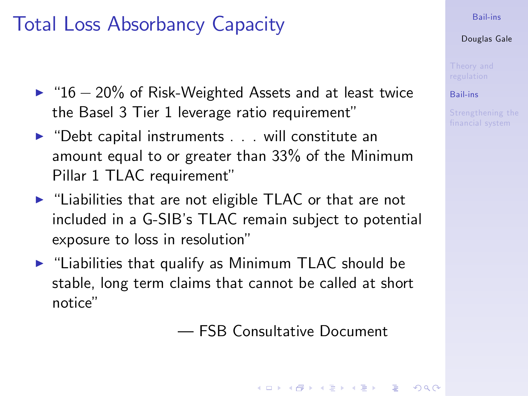### Total Loss Absorbancy Capacity

- $\triangleright$  "16 20% of Risk-Weighted Assets and at least twice the Basel 3 Tier 1 leverage ratio requirement"
- $\triangleright$  "Debt capital instruments . . . will constitute an amount equal to or greater than 33% of the Minimum Pillar 1 TLAC requirement"
- $\blacktriangleright$  "Liabilities that are not eligible TLAC or that are not included in a G-SIB's TLAC remain subject to potential exposure to loss in resolution"
- $\blacktriangleright$  "Liabilities that qualify as Minimum TLAC should be stable, long term claims that cannot be called at short notice"

ó FSB Consultative Document

#### [Bail-ins](#page-0-0)

#### Douglas Gale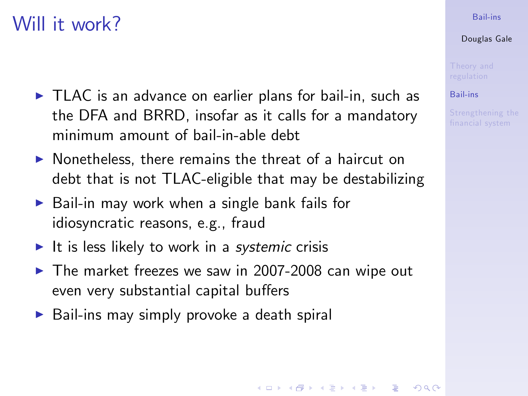### Will it work?

- $\triangleright$  TLAC is an advance on earlier plans for bail-in, such as the DFA and BRRD, insofar as it calls for a mandatory minimum amount of bail-in-able debt
- $\blacktriangleright$  Nonetheless, there remains the threat of a haircut on debt that is not TLAC-eligible that may be destabilizing
- $\triangleright$  Bail-in may work when a single bank fails for idiosyncratic reasons, e.g., fraud
- It is less likely to work in a systemic crisis
- $\blacktriangleright$  The market freezes we saw in 2007-2008 can wipe out even very substantial capital buffers
- $\triangleright$  Bail-ins may simply provoke a death spiral

#### [Bail-ins](#page-0-0)

#### Douglas Gale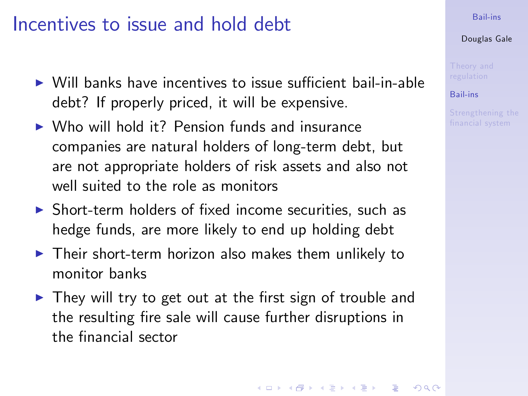### Incentives to issue and hold debt

- $\triangleright$  Will banks have incentives to issue sufficient bail-in-able debt? If properly priced, it will be expensive.
- $\triangleright$  Who will hold it? Pension funds and insurance companies are natural holders of long-term debt, but are not appropriate holders of risk assets and also not well suited to the role as monitors
- $\triangleright$  Short-term holders of fixed income securities, such as hedge funds, are more likely to end up holding debt
- $\blacktriangleright$  Their short-term horizon also makes them unlikely to monitor banks
- $\triangleright$  They will try to get out at the first sign of trouble and the resulting fire sale will cause further disruptions in the financial sector

#### [Bail-ins](#page-0-0)

#### Douglas Gale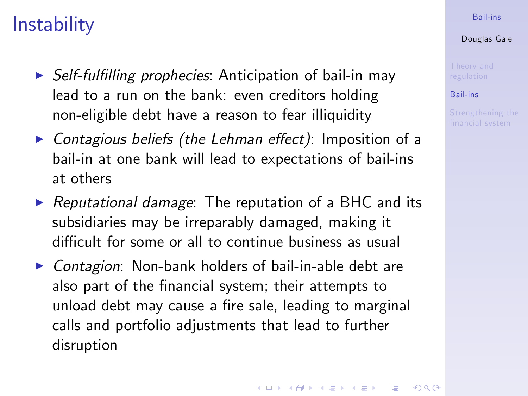## **Instability**

- $\triangleright$  Self-fulfilling prophecies: Anticipation of bail-in may lead to a run on the bank: even creditors holding non-eligible debt have a reason to fear illiquidity
- $\triangleright$  Contagious beliefs (the Lehman effect): Imposition of a bail-in at one bank will lead to expectations of bail-ins at others
- $\triangleright$  Reputational damage: The reputation of a BHC and its subsidiaries may be irreparably damaged, making it difficult for some or all to continue business as usual
- $\triangleright$  Contagion: Non-bank holders of bail-in-able debt are also part of the financial system; their attempts to unload debt may cause a fire sale, leading to marginal calls and portfolio adjustments that lead to further disruption

#### [Bail-ins](#page-0-0)

#### Douglas Gale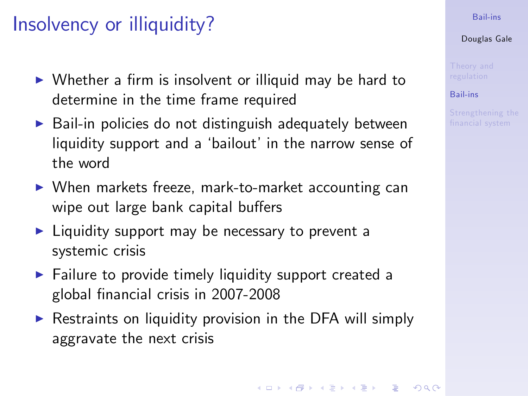## Insolvency or illiquidity?

- $\triangleright$  Whether a firm is insolvent or illiquid may be hard to determine in the time frame required
- $\triangleright$  Bail-in policies do not distinguish adequately between liquidity support and a 'bailout' in the narrow sense of the word
- $\triangleright$  When markets freeze, mark-to-market accounting can wipe out large bank capital buffers
- $\blacktriangleright$  Liquidity support may be necessary to prevent a systemic crisis
- $\blacktriangleright$  Failure to provide timely liquidity support created a global Önancial crisis in 2007-2008
- $\triangleright$  Restraints on liquidity provision in the DFA will simply aggravate the next crisis

#### [Bail-ins](#page-0-0)

#### Douglas Gale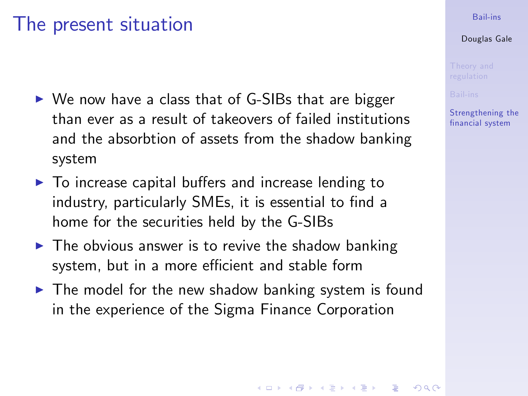### The present situation

- $\triangleright$  We now have a class that of G-SIBs that are bigger than ever as a result of takeovers of failed institutions and the absorbtion of assets from the shadow banking system
- $\triangleright$  To increase capital buffers and increase lending to industry, particularly SMEs, it is essential to find a home for the securities held by the G-SIBs
- $\blacktriangleright$  The obvious answer is to revive the shadow banking system, but in a more efficient and stable form
- <span id="page-10-0"></span> $\blacktriangleright$  The model for the new shadow banking system is found in the experience of the Sigma Finance Corporation

#### [Bail-ins](#page-0-0)

#### Douglas Gale

[Strengthening the](#page-10-0) Önancial system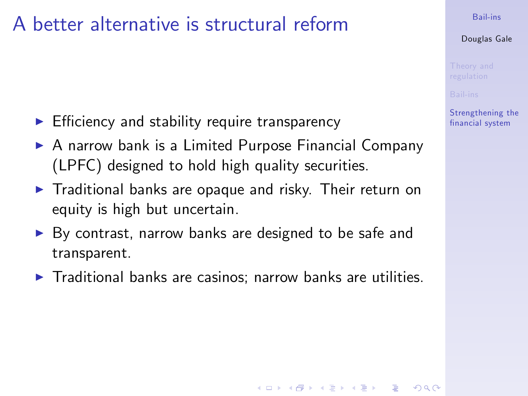### A better alternative is structural reform

- $\blacktriangleright$  Efficiency and stability require transparency
- $\triangleright$  A narrow bank is a Limited Purpose Financial Company (LPFC) designed to hold high quality securities.
- $\blacktriangleright$  Traditional banks are opaque and risky. Their return on equity is high but uncertain.
- $\triangleright$  By contrast, narrow banks are designed to be safe and transparent.
- $\blacktriangleright$  Traditional banks are casinos; narrow banks are utilities.

#### [Bail-ins](#page-0-0)

Douglas Gale

[Strengthening the](#page-10-0) Önancial system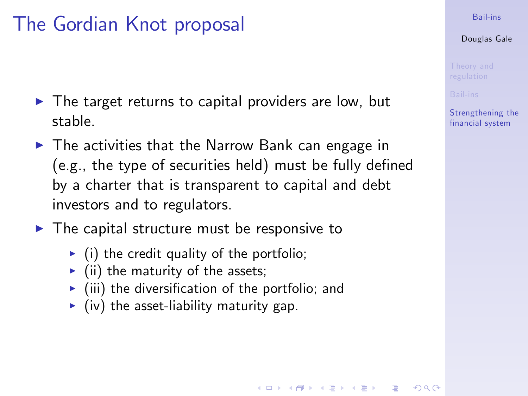# The Gordian Knot proposal

- $\triangleright$  The target returns to capital providers are low, but stable.
- $\triangleright$  The activities that the Narrow Bank can engage in  $(e.g., the type of securities held) must be fully defined.$ by a charter that is transparent to capital and debt investors and to regulators.
- $\blacktriangleright$  The capital structure must be responsive to
	- $\triangleright$  (i) the credit quality of the portfolio;
	- $\blacktriangleright$  (ii) the maturity of the assets;
	- $\blacktriangleright$  (iii) the diversification of the portfolio; and
	- $\blacktriangleright$  (iv) the asset-liability maturity gap.

#### [Bail-ins](#page-0-0)

#### Douglas Gale

[Strengthening the](#page-10-0) Önancial system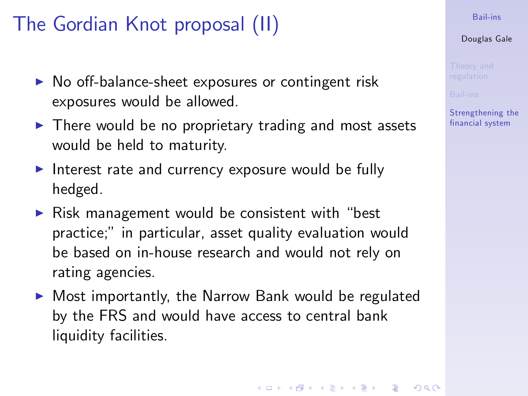# The Gordian Knot proposal (II)

- $\triangleright$  No off-balance-sheet exposures or contingent risk exposures would be allowed.
- $\blacktriangleright$  There would be no proprietary trading and most assets would be held to maturity.
- Interest rate and currency exposure would be fully hedged.
- $\triangleright$  Risk management would be consistent with "best practice;î in particular, asset quality evaluation would be based on in-house research and would not rely on rating agencies.
- $\triangleright$  Most importantly, the Narrow Bank would be regulated by the FRS and would have access to central bank liquidity facilities.

#### [Bail-ins](#page-0-0)

#### Douglas Gale

[Strengthening the](#page-10-0) Önancial system